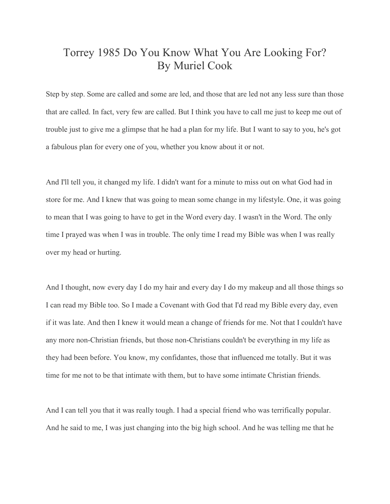## Torrey 1985 Do You Know What You Are Looking For? By Muriel Cook

Step by step. Some are called and some are led, and those that are led not any less sure than those that are called. In fact, very few are called. But I think you have to call me just to keep me out of trouble just to give me a glimpse that he had a plan for my life. But I want to say to you, he's got a fabulous plan for every one of you, whether you know about it or not.

And I'll tell you, it changed my life. I didn't want for a minute to miss out on what God had in store for me. And I knew that was going to mean some change in my lifestyle. One, it was going to mean that I was going to have to get in the Word every day. I wasn't in the Word. The only time I prayed was when I was in trouble. The only time I read my Bible was when I was really over my head or hurting.

And I thought, now every day I do my hair and every day I do my makeup and all those things so I can read my Bible too. So I made a Covenant with God that I'd read my Bible every day, even if it was late. And then I knew it would mean a change of friends for me. Not that I couldn't have any more non-Christian friends, but those non-Christians couldn't be everything in my life as they had been before. You know, my confidantes, those that influenced me totally. But it was time for me not to be that intimate with them, but to have some intimate Christian friends.

And I can tell you that it was really tough. I had a special friend who was terrifically popular. And he said to me, I was just changing into the big high school. And he was telling me that he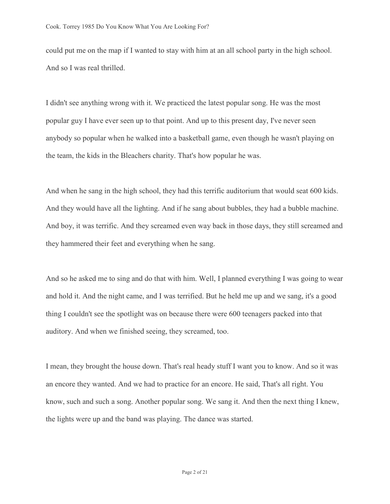could put me on the map if I wanted to stay with him at an all school party in the high school. And so I was real thrilled.

I didn't see anything wrong with it. We practiced the latest popular song. He was the most popular guy I have ever seen up to that point. And up to this present day, I've never seen anybody so popular when he walked into a basketball game, even though he wasn't playing on the team, the kids in the Bleachers charity. That's how popular he was.

And when he sang in the high school, they had this terrific auditorium that would seat 600 kids. And they would have all the lighting. And if he sang about bubbles, they had a bubble machine. And boy, it was terrific. And they screamed even way back in those days, they still screamed and they hammered their feet and everything when he sang.

And so he asked me to sing and do that with him. Well, I planned everything I was going to wear and hold it. And the night came, and I was terrified. But he held me up and we sang, it's a good thing I couldn't see the spotlight was on because there were 600 teenagers packed into that auditory. And when we finished seeing, they screamed, too.

I mean, they brought the house down. That's real heady stuff I want you to know. And so it was an encore they wanted. And we had to practice for an encore. He said, That's all right. You know, such and such a song. Another popular song. We sang it. And then the next thing I knew, the lights were up and the band was playing. The dance was started.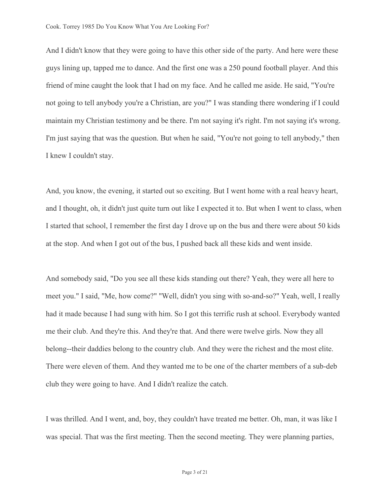And I didn't know that they were going to have this other side of the party. And here were these guys lining up, tapped me to dance. And the first one was a 250 pound football player. And this friend of mine caught the look that I had on my face. And he called me aside. He said, "You're not going to tell anybody you're a Christian, are you?" I was standing there wondering if I could maintain my Christian testimony and be there. I'm not saying it's right. I'm not saying it's wrong. I'm just saying that was the question. But when he said, "You're not going to tell anybody," then I knew I couldn't stay.

And, you know, the evening, it started out so exciting. But I went home with a real heavy heart, and I thought, oh, it didn't just quite turn out like I expected it to. But when I went to class, when I started that school, I remember the first day I drove up on the bus and there were about 50 kids at the stop. And when I got out of the bus, I pushed back all these kids and went inside.

And somebody said, "Do you see all these kids standing out there? Yeah, they were all here to meet you." I said, "Me, how come?" "Well, didn't you sing with so-and-so?" Yeah, well, I really had it made because I had sung with him. So I got this terrific rush at school. Everybody wanted me their club. And they're this. And they're that. And there were twelve girls. Now they all belong--their daddies belong to the country club. And they were the richest and the most elite. There were eleven of them. And they wanted me to be one of the charter members of a sub-deb club they were going to have. And I didn't realize the catch.

I was thrilled. And I went, and, boy, they couldn't have treated me better. Oh, man, it was like I was special. That was the first meeting. Then the second meeting. They were planning parties,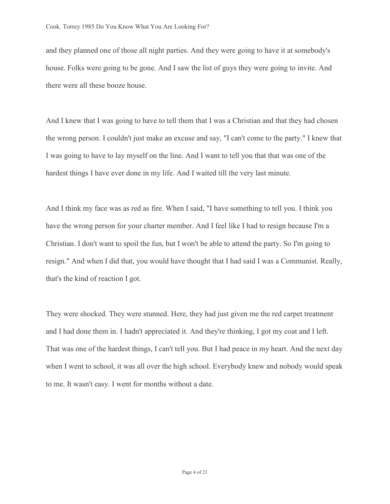and they planned one of those all night parties. And they were going to have it at somebody's house. Folks were going to be gone. And I saw the list of guys they were going to invite. And there were all these booze house.

And I knew that I was going to have to tell them that I was a Christian and that they had chosen the wrong person. I couldn't just make an excuse and say, "I can't come to the party." I knew that I was going to have to lay myself on the line. And I want to tell you that that was one of the hardest things I have ever done in my life. And I waited till the very last minute.

And I think my face was as red as fire. When I said, "I have something to tell you. I think you have the wrong person for your charter member. And I feel like I had to resign because I'm a Christian. I don't want to spoil the fun, but I won't be able to attend the party. So I'm going to resign." And when I did that, you would have thought that I had said I was a Communist. Really, that's the kind of reaction I got.

They were shocked. They were stunned. Here, they had just given me the red carpet treatment and I had done them in. I hadn't appreciated it. And they're thinking, I got my coat and I left. That was one of the hardest things, I can't tell you. But I had peace in my heart. And the next day when I went to school, it was all over the high school. Everybody knew and nobody would speak to me. It wasn't easy. I went for months without a date.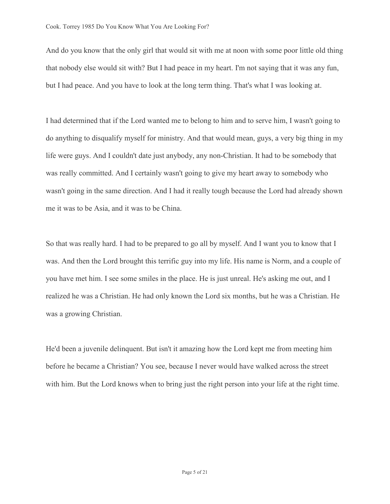And do you know that the only girl that would sit with me at noon with some poor little old thing that nobody else would sit with? But I had peace in my heart. I'm not saying that it was any fun, but I had peace. And you have to look at the long term thing. That's what I was looking at.

I had determined that if the Lord wanted me to belong to him and to serve him, I wasn't going to do anything to disqualify myself for ministry. And that would mean, guys, a very big thing in my life were guys. And I couldn't date just anybody, any non-Christian. It had to be somebody that was really committed. And I certainly wasn't going to give my heart away to somebody who wasn't going in the same direction. And I had it really tough because the Lord had already shown me it was to be Asia, and it was to be China.

So that was really hard. I had to be prepared to go all by myself. And I want you to know that I was. And then the Lord brought this terrific guy into my life. His name is Norm, and a couple of you have met him. I see some smiles in the place. He is just unreal. He's asking me out, and I realized he was a Christian. He had only known the Lord six months, but he was a Christian. He was a growing Christian.

He'd been a juvenile delinquent. But isn't it amazing how the Lord kept me from meeting him before he became a Christian? You see, because I never would have walked across the street with him. But the Lord knows when to bring just the right person into your life at the right time.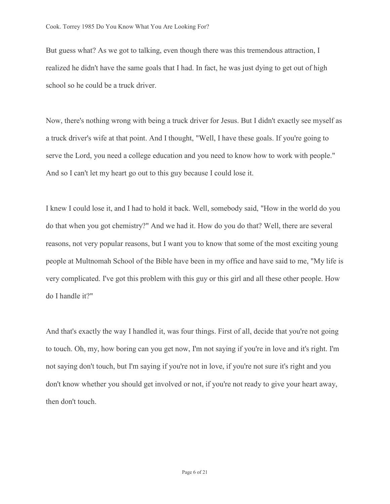But guess what? As we got to talking, even though there was this tremendous attraction, I realized he didn't have the same goals that I had. In fact, he was just dying to get out of high school so he could be a truck driver.

Now, there's nothing wrong with being a truck driver for Jesus. But I didn't exactly see myself as a truck driver's wife at that point. And I thought, "Well, I have these goals. If you're going to serve the Lord, you need a college education and you need to know how to work with people." And so I can't let my heart go out to this guy because I could lose it.

I knew I could lose it, and I had to hold it back. Well, somebody said, "How in the world do you do that when you got chemistry?" And we had it. How do you do that? Well, there are several reasons, not very popular reasons, but I want you to know that some of the most exciting young people at Multnomah School of the Bible have been in my office and have said to me, "My life is very complicated. I've got this problem with this guy or this girl and all these other people. How do I handle it?"

And that's exactly the way I handled it, was four things. First of all, decide that you're not going to touch. Oh, my, how boring can you get now, I'm not saying if you're in love and it's right. I'm not saying don't touch, but I'm saying if you're not in love, if you're not sure it's right and you don't know whether you should get involved or not, if you're not ready to give your heart away, then don't touch.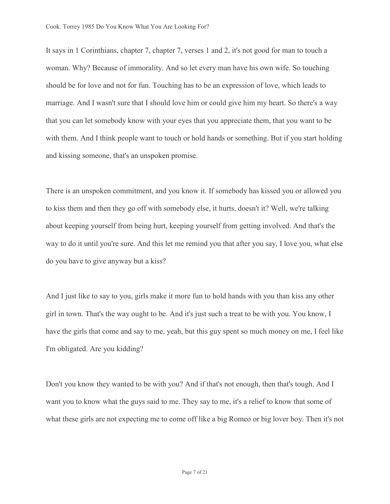It says in 1 Corinthians, chapter 7, chapter 7, verses 1 and 2, it's not good for man to touch a woman. Why? Because of immorality. And so let every man have his own wife. So touching should be for love and not for fun. Touching has to be an expression of love, which leads to marriage. And I wasn't sure that I should love him or could give him my heart. So there's a way that you can let somebody know with your eyes that you appreciate them, that you want to be with them. And I think people want to touch or hold hands or something. But if you start holding and kissing someone, that's an unspoken promise.

There is an unspoken commitment, and you know it. If somebody has kissed you or allowed you to kiss them and then they go off with somebody else, it hurts, doesn't it? Well, we're talking about keeping yourself from being hurt, keeping yourself from getting involved. And that's the way to do it until you're sure. And this let me remind you that after you say, I love you, what else do you have to give anyway but a kiss?

And I just like to say to you, girls make it more fun to hold hands with you than kiss any other girl in town. That's the way ought to be. And it's just such a treat to be with you. You know, I have the girls that come and say to me, yeah, but this guy spent so much money on me, I feel like I'm obligated. Are you kidding?

Don't you know they wanted to be with you? And if that's not enough, then that's tough. And I want you to know what the guys said to me. They say to me, it's a relief to know that some of what these girls are not expecting me to come off like a big Romeo or big lover boy. Then it's not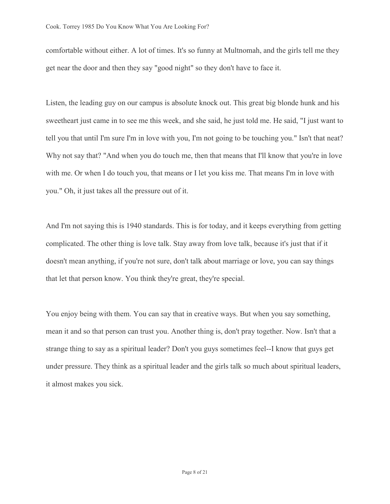comfortable without either. A lot of times. It's so funny at Multnomah, and the girls tell me they get near the door and then they say "good night" so they don't have to face it.

Listen, the leading guy on our campus is absolute knock out. This great big blonde hunk and his sweetheart just came in to see me this week, and she said, he just told me. He said, "I just want to tell you that until I'm sure I'm in love with you, I'm not going to be touching you." Isn't that neat? Why not say that? "And when you do touch me, then that means that I'll know that you're in love with me. Or when I do touch you, that means or I let you kiss me. That means I'm in love with you." Oh, it just takes all the pressure out of it.

And I'm not saying this is 1940 standards. This is for today, and it keeps everything from getting complicated. The other thing is love talk. Stay away from love talk, because it's just that if it doesn't mean anything, if you're not sure, don't talk about marriage or love, you can say things that let that person know. You think they're great, they're special.

You enjoy being with them. You can say that in creative ways. But when you say something, mean it and so that person can trust you. Another thing is, don't pray together. Now. Isn't that a strange thing to say as a spiritual leader? Don't you guys sometimes feel--I know that guys get under pressure. They think as a spiritual leader and the girls talk so much about spiritual leaders, it almost makes you sick.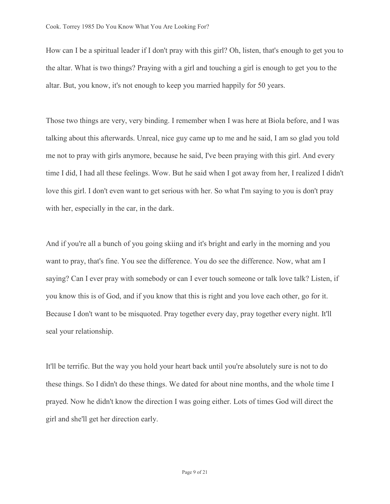How can I be a spiritual leader if I don't pray with this girl? Oh, listen, that's enough to get you to the altar. What is two things? Praying with a girl and touching a girl is enough to get you to the altar. But, you know, it's not enough to keep you married happily for 50 years.

Those two things are very, very binding. I remember when I was here at Biola before, and I was talking about this afterwards. Unreal, nice guy came up to me and he said, I am so glad you told me not to pray with girls anymore, because he said, I've been praying with this girl. And every time I did, I had all these feelings. Wow. But he said when I got away from her, I realized I didn't love this girl. I don't even want to get serious with her. So what I'm saying to you is don't pray with her, especially in the car, in the dark.

And if you're all a bunch of you going skiing and it's bright and early in the morning and you want to pray, that's fine. You see the difference. You do see the difference. Now, what am I saying? Can I ever pray with somebody or can I ever touch someone or talk love talk? Listen, if you know this is of God, and if you know that this is right and you love each other, go for it. Because I don't want to be misquoted. Pray together every day, pray together every night. It'll seal your relationship.

It'll be terrific. But the way you hold your heart back until you're absolutely sure is not to do these things. So I didn't do these things. We dated for about nine months, and the whole time I prayed. Now he didn't know the direction I was going either. Lots of times God will direct the girl and she'll get her direction early.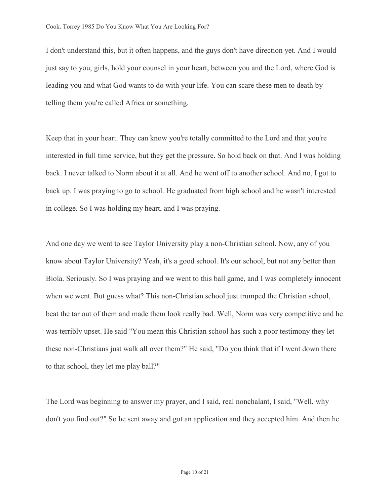I don't understand this, but it often happens, and the guys don't have direction yet. And I would just say to you, girls, hold your counsel in your heart, between you and the Lord, where God is leading you and what God wants to do with your life. You can scare these men to death by telling them you're called Africa or something.

Keep that in your heart. They can know you're totally committed to the Lord and that you're interested in full time service, but they get the pressure. So hold back on that. And I was holding back. I never talked to Norm about it at all. And he went off to another school. And no, I got to back up. I was praying to go to school. He graduated from high school and he wasn't interested in college. So I was holding my heart, and I was praying.

And one day we went to see Taylor University play a non-Christian school. Now, any of you know about Taylor University? Yeah, it's a good school. It's our school, but not any better than Biola. Seriously. So I was praying and we went to this ball game, and I was completely innocent when we went. But guess what? This non-Christian school just trumped the Christian school, beat the tar out of them and made them look really bad. Well, Norm was very competitive and he was terribly upset. He said "You mean this Christian school has such a poor testimony they let these non-Christians just walk all over them?" He said, "Do you think that if I went down there to that school, they let me play ball?"

The Lord was beginning to answer my prayer, and I said, real nonchalant, I said, "Well, why don't you find out?" So he sent away and got an application and they accepted him. And then he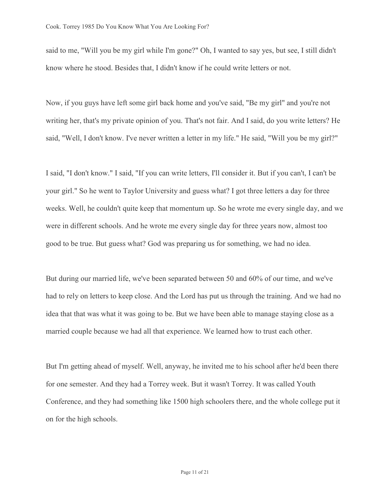said to me, "Will you be my girl while I'm gone?" Oh, I wanted to say yes, but see, I still didn't know where he stood. Besides that, I didn't know if he could write letters or not.

Now, if you guys have left some girl back home and you've said, "Be my girl" and you're not writing her, that's my private opinion of you. That's not fair. And I said, do you write letters? He said, "Well, I don't know. I've never written a letter in my life." He said, "Will you be my girl?"

I said, "I don't know." I said, "If you can write letters, I'll consider it. But if you can't, I can't be your girl." So he went to Taylor University and guess what? I got three letters a day for three weeks. Well, he couldn't quite keep that momentum up. So he wrote me every single day, and we were in different schools. And he wrote me every single day for three years now, almost too good to be true. But guess what? God was preparing us for something, we had no idea.

But during our married life, we've been separated between 50 and 60% of our time, and we've had to rely on letters to keep close. And the Lord has put us through the training. And we had no idea that that was what it was going to be. But we have been able to manage staying close as a married couple because we had all that experience. We learned how to trust each other.

But I'm getting ahead of myself. Well, anyway, he invited me to his school after he'd been there for one semester. And they had a Torrey week. But it wasn't Torrey. It was called Youth Conference, and they had something like 1500 high schoolers there, and the whole college put it on for the high schools.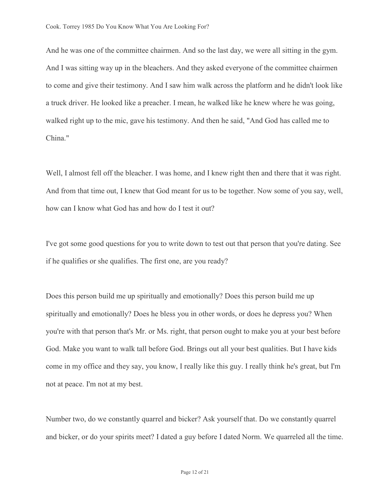And he was one of the committee chairmen. And so the last day, we were all sitting in the gym. And I was sitting way up in the bleachers. And they asked everyone of the committee chairmen to come and give their testimony. And I saw him walk across the platform and he didn't look like a truck driver. He looked like a preacher. I mean, he walked like he knew where he was going, walked right up to the mic, gave his testimony. And then he said, "And God has called me to China."

Well, I almost fell off the bleacher. I was home, and I knew right then and there that it was right. And from that time out, I knew that God meant for us to be together. Now some of you say, well, how can I know what God has and how do I test it out?

I've got some good questions for you to write down to test out that person that you're dating. See if he qualifies or she qualifies. The first one, are you ready?

Does this person build me up spiritually and emotionally? Does this person build me up spiritually and emotionally? Does he bless you in other words, or does he depress you? When you're with that person that's Mr. or Ms. right, that person ought to make you at your best before God. Make you want to walk tall before God. Brings out all your best qualities. But I have kids come in my office and they say, you know, I really like this guy. I really think he's great, but I'm not at peace. I'm not at my best.

Number two, do we constantly quarrel and bicker? Ask yourself that. Do we constantly quarrel and bicker, or do your spirits meet? I dated a guy before I dated Norm. We quarreled all the time.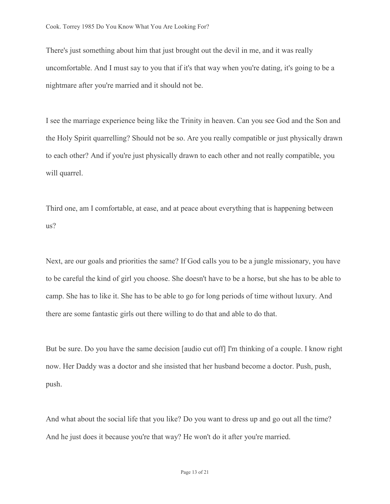There's just something about him that just brought out the devil in me, and it was really uncomfortable. And I must say to you that if it's that way when you're dating, it's going to be a nightmare after you're married and it should not be.

I see the marriage experience being like the Trinity in heaven. Can you see God and the Son and the Holy Spirit quarrelling? Should not be so. Are you really compatible or just physically drawn to each other? And if you're just physically drawn to each other and not really compatible, you will quarrel.

Third one, am I comfortable, at ease, and at peace about everything that is happening between us?

Next, are our goals and priorities the same? If God calls you to be a jungle missionary, you have to be careful the kind of girl you choose. She doesn't have to be a horse, but she has to be able to camp. She has to like it. She has to be able to go for long periods of time without luxury. And there are some fantastic girls out there willing to do that and able to do that.

But be sure. Do you have the same decision [audio cut off] I'm thinking of a couple. I know right now. Her Daddy was a doctor and she insisted that her husband become a doctor. Push, push, push.

And what about the social life that you like? Do you want to dress up and go out all the time? And he just does it because you're that way? He won't do it after you're married.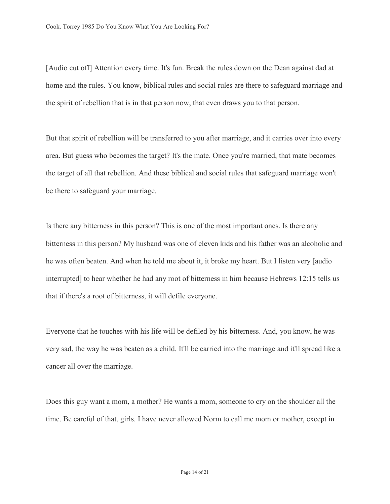[Audio cut off] Attention every time. It's fun. Break the rules down on the Dean against dad at home and the rules. You know, biblical rules and social rules are there to safeguard marriage and the spirit of rebellion that is in that person now, that even draws you to that person.

But that spirit of rebellion will be transferred to you after marriage, and it carries over into every area. But guess who becomes the target? It's the mate. Once you're married, that mate becomes the target of all that rebellion. And these biblical and social rules that safeguard marriage won't be there to safeguard your marriage.

Is there any bitterness in this person? This is one of the most important ones. Is there any bitterness in this person? My husband was one of eleven kids and his father was an alcoholic and he was often beaten. And when he told me about it, it broke my heart. But I listen very [audio interrupted] to hear whether he had any root of bitterness in him because Hebrews 12:15 tells us that if there's a root of bitterness, it will defile everyone.

Everyone that he touches with his life will be defiled by his bitterness. And, you know, he was very sad, the way he was beaten as a child. It'll be carried into the marriage and it'll spread like a cancer all over the marriage.

Does this guy want a mom, a mother? He wants a mom, someone to cry on the shoulder all the time. Be careful of that, girls. I have never allowed Norm to call me mom or mother, except in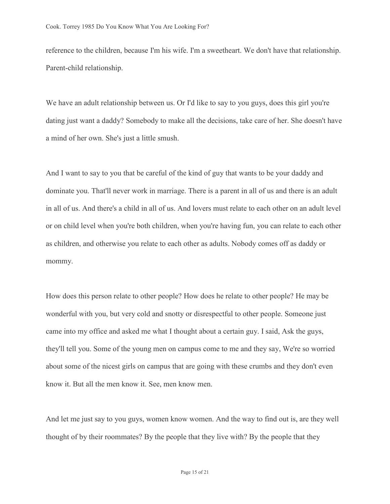reference to the children, because I'm his wife. I'm a sweetheart. We don't have that relationship. Parent-child relationship.

We have an adult relationship between us. Or I'd like to say to you guys, does this girl you're dating just want a daddy? Somebody to make all the decisions, take care of her. She doesn't have a mind of her own. She's just a little smush.

And I want to say to you that be careful of the kind of guy that wants to be your daddy and dominate you. That'll never work in marriage. There is a parent in all of us and there is an adult in all of us. And there's a child in all of us. And lovers must relate to each other on an adult level or on child level when you're both children, when you're having fun, you can relate to each other as children, and otherwise you relate to each other as adults. Nobody comes off as daddy or mommy.

How does this person relate to other people? How does he relate to other people? He may be wonderful with you, but very cold and snotty or disrespectful to other people. Someone just came into my office and asked me what I thought about a certain guy. I said, Ask the guys, they'll tell you. Some of the young men on campus come to me and they say, We're so worried about some of the nicest girls on campus that are going with these crumbs and they don't even know it. But all the men know it. See, men know men.

And let me just say to you guys, women know women. And the way to find out is, are they well thought of by their roommates? By the people that they live with? By the people that they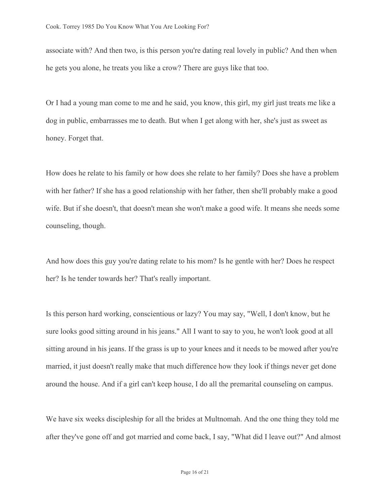associate with? And then two, is this person you're dating real lovely in public? And then when he gets you alone, he treats you like a crow? There are guys like that too.

Or I had a young man come to me and he said, you know, this girl, my girl just treats me like a dog in public, embarrasses me to death. But when I get along with her, she's just as sweet as honey. Forget that.

How does he relate to his family or how does she relate to her family? Does she have a problem with her father? If she has a good relationship with her father, then she'll probably make a good wife. But if she doesn't, that doesn't mean she won't make a good wife. It means she needs some counseling, though.

And how does this guy you're dating relate to his mom? Is he gentle with her? Does he respect her? Is he tender towards her? That's really important.

Is this person hard working, conscientious or lazy? You may say, "Well, I don't know, but he sure looks good sitting around in his jeans." All I want to say to you, he won't look good at all sitting around in his jeans. If the grass is up to your knees and it needs to be mowed after you're married, it just doesn't really make that much difference how they look if things never get done around the house. And if a girl can't keep house, I do all the premarital counseling on campus.

We have six weeks discipleship for all the brides at Multnomah. And the one thing they told me after they've gone off and got married and come back, I say, "What did I leave out?" And almost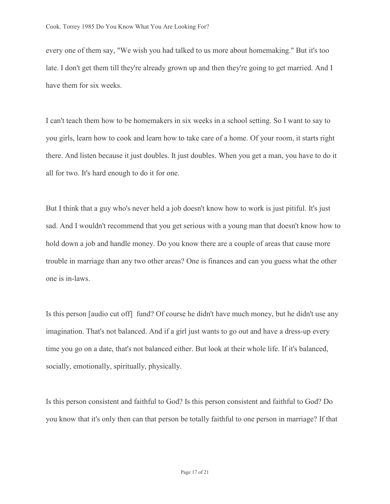every one of them say, "We wish you had talked to us more about homemaking." But it's too late. I don't get them till they're already grown up and then they're going to get married. And I have them for six weeks.

I can't teach them how to be homemakers in six weeks in a school setting. So I want to say to you girls, learn how to cook and learn how to take care of a home. Of your room, it starts right there. And listen because it just doubles. It just doubles. When you get a man, you have to do it all for two. It's hard enough to do it for one.

But I think that a guy who's never held a job doesn't know how to work is just pitiful. It's just sad. And I wouldn't recommend that you get serious with a young man that doesn't know how to hold down a job and handle money. Do you know there are a couple of areas that cause more trouble in marriage than any two other areas? One is finances and can you guess what the other one is in-laws.

Is this person [audio cut off] fund? Of course he didn't have much money, but he didn't use any imagination. That's not balanced. And if a girl just wants to go out and have a dress-up every time you go on a date, that's not balanced either. But look at their whole life. If it's balanced, socially, emotionally, spiritually, physically.

Is this person consistent and faithful to God? Is this person consistent and faithful to God? Do you know that it's only then can that person be totally faithful to one person in marriage? If that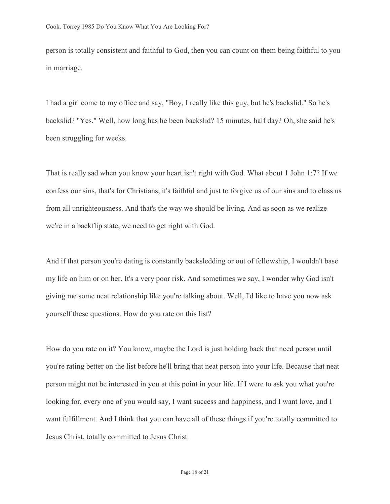person is totally consistent and faithful to God, then you can count on them being faithful to you in marriage.

I had a girl come to my office and say, "Boy, I really like this guy, but he's backslid." So he's backslid? "Yes." Well, how long has he been backslid? 15 minutes, half day? Oh, she said he's been struggling for weeks.

That is really sad when you know your heart isn't right with God. What about 1 John 1:7? If we confess our sins, that's for Christians, it's faithful and just to forgive us of our sins and to class us from all unrighteousness. And that's the way we should be living. And as soon as we realize we're in a backflip state, we need to get right with God.

And if that person you're dating is constantly backsledding or out of fellowship, I wouldn't base my life on him or on her. It's a very poor risk. And sometimes we say, I wonder why God isn't giving me some neat relationship like you're talking about. Well, I'd like to have you now ask yourself these questions. How do you rate on this list?

How do you rate on it? You know, maybe the Lord is just holding back that need person until you're rating better on the list before he'll bring that neat person into your life. Because that neat person might not be interested in you at this point in your life. If I were to ask you what you're looking for, every one of you would say, I want success and happiness, and I want love, and I want fulfillment. And I think that you can have all of these things if you're totally committed to Jesus Christ, totally committed to Jesus Christ.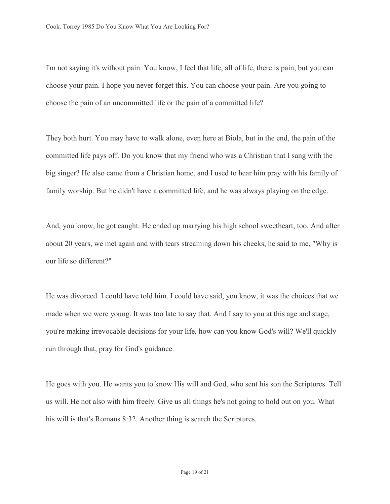I'm not saying it's without pain. You know, I feel that life, all of life, there is pain, but you can choose your pain. I hope you never forget this. You can choose your pain. Are you going to choose the pain of an uncommitted life or the pain of a committed life?

They both hurt. You may have to walk alone, even here at Biola, but in the end, the pain of the committed life pays off. Do you know that my friend who was a Christian that I sang with the big singer? He also came from a Christian home, and I used to hear him pray with his family of family worship. But he didn't have a committed life, and he was always playing on the edge.

And, you know, he got caught. He ended up marrying his high school sweetheart, too. And after about 20 years, we met again and with tears streaming down his cheeks, he said to me, "Why is our life so different?"

He was divorced. I could have told him. I could have said, you know, it was the choices that we made when we were young. It was too late to say that. And I say to you at this age and stage, you're making irrevocable decisions for your life, how can you know God's will? We'll quickly run through that, pray for God's guidance.

He goes with you. He wants you to know His will and God, who sent his son the Scriptures. Tell us will. He not also with him freely. Give us all things he's not going to hold out on you. What his will is that's Romans 8:32. Another thing is search the Scriptures.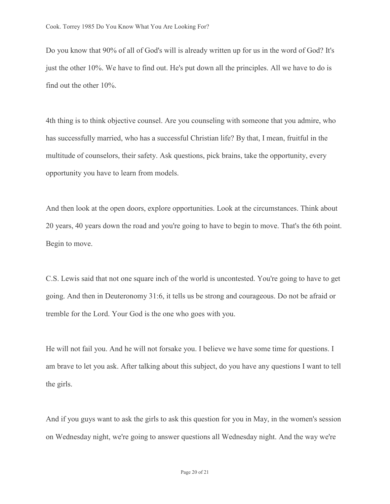Do you know that 90% of all of God's will is already written up for us in the word of God? It's just the other 10%. We have to find out. He's put down all the principles. All we have to do is find out the other 10%.

4th thing is to think objective counsel. Are you counseling with someone that you admire, who has successfully married, who has a successful Christian life? By that, I mean, fruitful in the multitude of counselors, their safety. Ask questions, pick brains, take the opportunity, every opportunity you have to learn from models.

And then look at the open doors, explore opportunities. Look at the circumstances. Think about 20 years, 40 years down the road and you're going to have to begin to move. That's the 6th point. Begin to move.

C.S. Lewis said that not one square inch of the world is uncontested. You're going to have to get going. And then in Deuteronomy 31:6, it tells us be strong and courageous. Do not be afraid or tremble for the Lord. Your God is the one who goes with you.

He will not fail you. And he will not forsake you. I believe we have some time for questions. I am brave to let you ask. After talking about this subject, do you have any questions I want to tell the girls.

And if you guys want to ask the girls to ask this question for you in May, in the women's session on Wednesday night, we're going to answer questions all Wednesday night. And the way we're